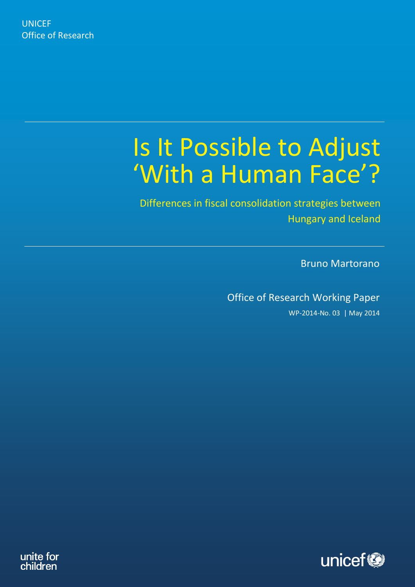# Is It Possible to Adjust 'With a Human Face'?

Differences in fiscal consolidation strategies between Hungary and Iceland

Bruno Martorano

Office of Research Working Paper

WP-2014-No. 03 | May 2014



unite for children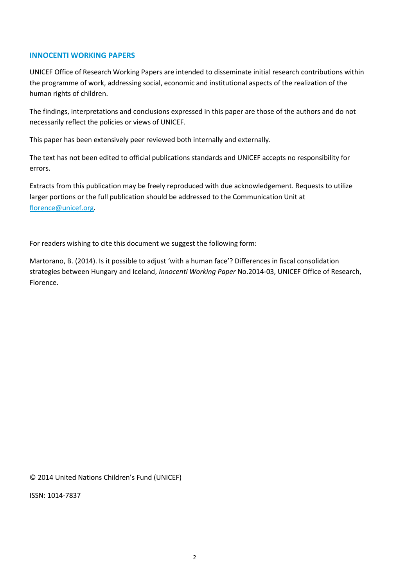## **INNOCENTI WORKING PAPERS**

UNICEF Office of Research Working Papers are intended to disseminate initial research contributions within the programme of work, addressing social, economic and institutional aspects of the realization of the human rights of children.

The findings, interpretations and conclusions expressed in this paper are those of the authors and do not necessarily reflect the policies or views of UNICEF.

This paper has been extensively peer reviewed both internally and externally.

The text has not been edited to official publications standards and UNICEF accepts no responsibility for errors.

Extracts from this publication may be freely reproduced with due acknowledgement. Requests to utilize larger portions or the full publication should be addressed to the Communication Unit at [florence@unicef.org.](florence@unicef.org)

For readers wishing to cite this document we suggest the following form:

Martorano, B. (2014). Is it possible to adjust 'with a human face'? Differences in fiscal consolidation strategies between Hungary and Iceland, *Innocenti Working Paper* No.2014-03, UNICEF Office of Research, Florence.

© 2014 United Nations Children's Fund (UNICEF)

ISSN: 1014-7837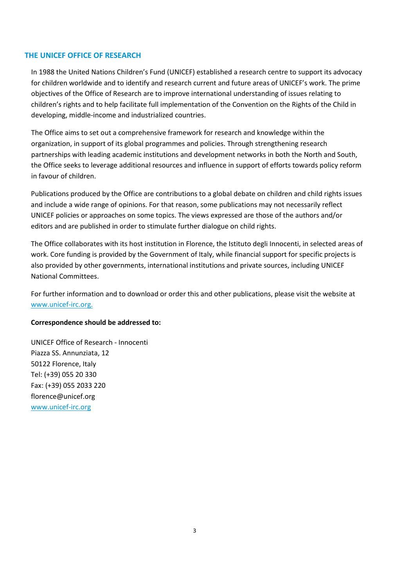## **THE UNICEF OFFICE OF RESEARCH**

In 1988 the United Nations Children's Fund (UNICEF) established a research centre to support its advocacy for children worldwide and to identify and research current and future areas of UNICEF's work. The prime objectives of the Office of Research are to improve international understanding of issues relating to children's rights and to help facilitate full implementation of the Convention on the Rights of the Child in developing, middle-income and industrialized countries.

The Office aims to set out a comprehensive framework for research and knowledge within the organization, in support of its global programmes and policies. Through strengthening research partnerships with leading academic institutions and development networks in both the North and South, the Office seeks to leverage additional resources and influence in support of efforts towards policy reform in favour of children.

Publications produced by the Office are contributions to a global debate on children and child rights issues and include a wide range of opinions. For that reason, some publications may not necessarily reflect UNICEF policies or approaches on some topics. The views expressed are those of the authors and/or editors and are published in order to stimulate further dialogue on child rights.

The Office collaborates with its host institution in Florence, the Istituto degli Innocenti, in selected areas of work. Core funding is provided by the Government of Italy, while financial support for specific projects is also provided by other governments, international institutions and private sources, including UNICEF National Committees.

For further information and to download or order this and other publications, please visit the website at www.unicef-irc.org.

## **Correspondence should be addressed to:**

UNICEF Office of Research - Innocenti Piazza SS. Annunziata, 12 50122 Florence, Italy Tel: (+39) 055 20 330 Fax: (+39) 055 2033 220 florence@unicef.org [www.unicef-irc.org](http://www.unicef-irc.org/)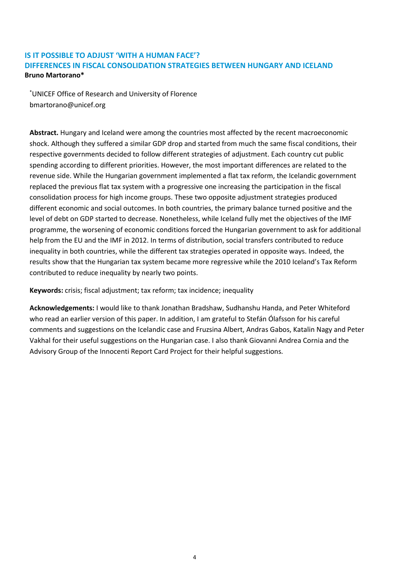# **IS IT POSSIBLE TO ADJUST 'WITH A HUMAN FACE'? DIFFERENCES IN FISCAL CONSOLIDATION STRATEGIES BETWEEN HUNGARY AND ICELAND Bruno Martorano\***

\*UNICEF Office of Research and University of Florence bmartorano@unicef.org

**Abstract.** Hungary and Iceland were among the countries most affected by the recent macroeconomic shock. Although they suffered a similar GDP drop and started from much the same fiscal conditions, their respective governments decided to follow different strategies of adjustment. Each country cut public spending according to different priorities. However, the most important differences are related to the revenue side. While the Hungarian government implemented a flat tax reform, the Icelandic government replaced the previous flat tax system with a progressive one increasing the participation in the fiscal consolidation process for high income groups. These two opposite adjustment strategies produced different economic and social outcomes. In both countries, the primary balance turned positive and the level of debt on GDP started to decrease. Nonetheless, while Iceland fully met the objectives of the IMF programme, the worsening of economic conditions forced the Hungarian government to ask for additional help from the EU and the IMF in 2012. In terms of distribution, social transfers contributed to reduce inequality in both countries, while the different tax strategies operated in opposite ways. Indeed, the results show that the Hungarian tax system became more regressive while the 2010 Iceland's Tax Reform contributed to reduce inequality by nearly two points.

**Keywords:** crisis; fiscal adjustment; tax reform; tax incidence; inequality

**Acknowledgements:** I would like to thank Jonathan Bradshaw, Sudhanshu Handa, and Peter Whiteford who read an earlier version of this paper. In addition, I am grateful to Stefán Ólafsson for his careful comments and suggestions on the Icelandic case and Fruzsina Albert, Andras Gabos, Katalin Nagy and Peter Vakhal for their useful suggestions on the Hungarian case. I also thank Giovanni Andrea Cornia and the Advisory Group of the Innocenti Report Card Project for their helpful suggestions.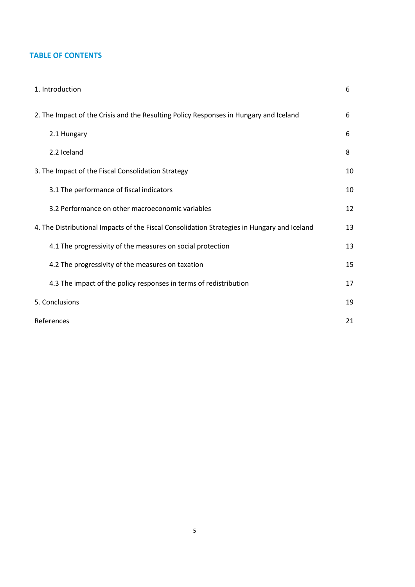# **TABLE OF CONTENTS**

| 1. Introduction                                                                             | 6  |
|---------------------------------------------------------------------------------------------|----|
| 2. The Impact of the Crisis and the Resulting Policy Responses in Hungary and Iceland       | 6  |
| 2.1 Hungary                                                                                 | 6  |
| 2.2 Iceland                                                                                 | 8  |
| 3. The Impact of the Fiscal Consolidation Strategy                                          | 10 |
| 3.1 The performance of fiscal indicators                                                    | 10 |
| 3.2 Performance on other macroeconomic variables                                            | 12 |
| 4. The Distributional Impacts of the Fiscal Consolidation Strategies in Hungary and Iceland | 13 |
| 4.1 The progressivity of the measures on social protection                                  | 13 |
| 4.2 The progressivity of the measures on taxation                                           | 15 |
| 4.3 The impact of the policy responses in terms of redistribution                           | 17 |
| 5. Conclusions                                                                              | 19 |
| References                                                                                  | 21 |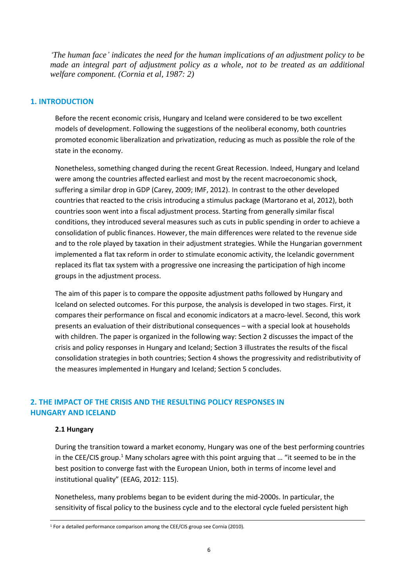*'The human face' indicates the need for the human implications of an adjustment policy to be made an integral part of adjustment policy as a whole, not to be treated as an additional welfare component. (Cornia et al, 1987: 2)* 

## **1. INTRODUCTION**

Before the recent economic crisis, Hungary and Iceland were considered to be two excellent models of development. Following the suggestions of the neoliberal economy, both countries promoted economic liberalization and privatization, reducing as much as possible the role of the state in the economy.

Nonetheless, something changed during the recent Great Recession. Indeed, Hungary and Iceland were among the countries affected earliest and most by the recent macroeconomic shock, suffering a similar drop in GDP (Carey, 2009; IMF, 2012). In contrast to the other developed countries that reacted to the crisis introducing a stimulus package (Martorano et al, 2012), both countries soon went into a fiscal adjustment process. Starting from generally similar fiscal conditions, they introduced several measures such as cuts in public spending in order to achieve a consolidation of public finances. However, the main differences were related to the revenue side and to the role played by taxation in their adjustment strategies. While the Hungarian government implemented a flat tax reform in order to stimulate economic activity, the Icelandic government replaced its flat tax system with a progressive one increasing the participation of high income groups in the adjustment process.

The aim of this paper is to compare the opposite adjustment paths followed by Hungary and Iceland on selected outcomes. For this purpose, the analysis is developed in two stages. First, it compares their performance on fiscal and economic indicators at a macro-level. Second, this work presents an evaluation of their distributional consequences – with a special look at households with children. The paper is organized in the following way: Section 2 discusses the impact of the crisis and policy responses in Hungary and Iceland; Section 3 illustrates the results of the fiscal consolidation strategies in both countries; Section 4 shows the progressivity and redistributivity of the measures implemented in Hungary and Iceland; Section 5 concludes.

# **2. THE IMPACT OF THE CRISIS AND THE RESULTING POLICY RESPONSES IN HUNGARY AND ICELAND**

## **2.1 Hungary**

During the transition toward a market economy, Hungary was one of the best performing countries in the CEE/CIS group.<sup>1</sup> Many scholars agree with this point arguing that ... "it seemed to be in the best position to converge fast with the European Union, both in terms of income level and institutional quality" (EEAG, 2012: 115).

Nonetheless, many problems began to be evident during the mid-2000s. In particular, the sensitivity of fiscal policy to the business cycle and to the electoral cycle fueled persistent high

**<sup>.</sup>**  $1$  For a detailed performance comparison among the CEE/CIS group see Cornia (2010).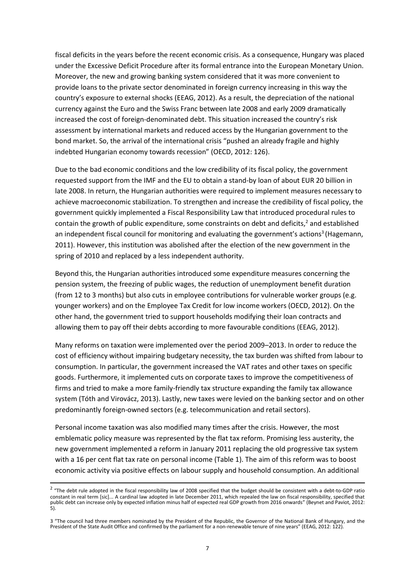fiscal deficits in the years before the recent economic crisis. As a consequence, Hungary was placed under the Excessive Deficit Procedure after its formal entrance into the European Monetary Union. Moreover, the new and growing banking system considered that it was more convenient to provide loans to the private sector denominated in foreign currency increasing in this way the country's exposure to external shocks (EEAG, 2012). As a result, the depreciation of the national currency against the Euro and the Swiss Franc between late 2008 and early 2009 dramatically increased the cost of foreign-denominated debt. This situation increased the country's risk assessment by international markets and reduced access by the Hungarian government to the bond market. So, the arrival of the international crisis "pushed an already fragile and highly indebted Hungarian economy towards recession" (OECD, 2012: 126).

Due to the bad economic conditions and the low credibility of its fiscal policy, the government requested support from the IMF and the EU to obtain a stand-by loan of about EUR 20 billion in late 2008. In return, the Hungarian authorities were required to implement measures necessary to achieve macroeconomic stabilization. To strengthen and increase the credibility of fiscal policy, the government quickly implemented a Fiscal Responsibility Law that introduced procedural rules to contain the growth of public expenditure, some constraints on debt and deficits, $^2$  and established an independent fiscal council for monitoring and evaluating the government's actions<sup>3</sup> (Hagemann, 2011). However, this institution was abolished after the election of the new government in the spring of 2010 and replaced by a less independent authority.

Beyond this, the Hungarian authorities introduced some expenditure measures concerning the pension system, the freezing of public wages, the reduction of unemployment benefit duration (from 12 to 3 months) but also cuts in employee contributions for vulnerable worker groups (e.g. younger workers) and on the Employee Tax Credit for low income workers (OECD, 2012). On the other hand, the government tried to support households modifying their loan contracts and allowing them to pay off their debts according to more favourable conditions (EEAG, 2012).

Many reforms on taxation were implemented over the period 2009–2013. In order to reduce the cost of efficiency without impairing budgetary necessity, the tax burden was shifted from labour to consumption. In particular, the government increased the VAT rates and other taxes on specific goods. Furthermore, it implemented cuts on corporate taxes to improve the competitiveness of firms and tried to make a more family-friendly tax structure expanding the family tax allowance system (Tóth and Virovácz, 2013). Lastly, new taxes were levied on the banking sector and on other predominantly foreign-owned sectors (e.g. telecommunication and retail sectors).

Personal income taxation was also modified many times after the crisis. However, the most emblematic policy measure was represented by the flat tax reform. Promising less austerity, the new government implemented a reform in January 2011 replacing the old progressive tax system with a 16 per cent flat tax rate on personal income (Table 1). The aim of this reform was to boost economic activity via positive effects on labour supply and household consumption. An additional

**.** 

<sup>&</sup>lt;sup>2</sup> "The debt rule adopted in the fiscal responsibility law of 2008 specified that the budget should be consistent with a debt-to-GDP ratio constant in real term [sic]... A cardinal law adopted in late December 2011, which repealed the law on fiscal responsibility, specified that public debt can increase only by expected inflation minus half of expected real GDP growth from 2016 onwards" (Beynet and Paviot, 2012: 5).

<sup>3</sup> "The council had three members nominated by the President of the Republic, the Governor of the National Bank of Hungary, and the President of the State Audit Office and confirmed by the parliament for a non-renewable tenure of nine years" (EEAG, 2012: 122).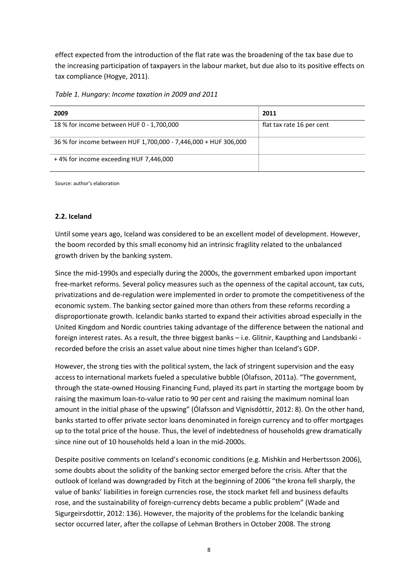effect expected from the introduction of the flat rate was the broadening of the tax base due to the increasing participation of taxpayers in the labour market, but due also to its positive effects on tax compliance (Hogye, 2011).

*Table 1. Hungary: Income taxation in 2009 and 2011*

| 2009                                                            | 2011                      |
|-----------------------------------------------------------------|---------------------------|
| 18 % for income between HUF 0 - 1,700,000                       | flat tax rate 16 per cent |
| 36 % for income between HUF 1,700,000 - 7,446,000 + HUF 306,000 |                           |
| +4% for income exceeding HUF 7,446,000                          |                           |

Source: author's elaboration

## **2.2. Iceland**

Until some years ago, Iceland was considered to be an excellent model of development. However, the boom recorded by this small economy hid an intrinsic fragility related to the unbalanced growth driven by the banking system.

Since the mid-1990s and especially during the 2000s, the government embarked upon important free-market reforms. Several policy measures such as the openness of the capital account, tax cuts, privatizations and de-regulation were implemented in order to promote the competitiveness of the economic system. The banking sector gained more than others from these reforms recording a disproportionate growth. Icelandic banks started to expand their activities abroad especially in the United Kingdom and Nordic countries taking advantage of the difference between the national and foreign interest rates. As a result, the three biggest banks – i.e. Glitnir, Kaupthing and Landsbanki recorded before the crisis an asset value about nine times higher than Iceland's GDP.

However, the strong ties with the political system, the lack of stringent supervision and the easy access to international markets fueled a speculative bubble (Ólafsson, 2011a). "The government, through the state-owned Housing Financing Fund, played its part in starting the mortgage boom by raising the maximum loan-to-value ratio to 90 per cent and raising the maximum nominal loan amount in the initial phase of the upswing" (Ólafsson and Vignisdóttir, 2012: 8). On the other hand, banks started to offer private sector loans denominated in foreign currency and to offer mortgages up to the total price of the house. Thus, the level of indebtedness of households grew dramatically since nine out of 10 households held a loan in the mid-2000s.

Despite positive comments on Iceland's economic conditions (e.g. Mishkin and Herbertsson 2006), some doubts about the solidity of the banking sector emerged before the crisis. After that the outlook of Iceland was downgraded by Fitch at the beginning of 2006 "the krona fell sharply, the value of banks' liabilities in foreign currencies rose, the stock market fell and business defaults rose, and the sustainability of foreign-currency debts became a public problem" (Wade and Sigurgeirsdottir, 2012: 136). However, the majority of the problems for the Icelandic banking sector occurred later, after the collapse of Lehman Brothers in October 2008. The strong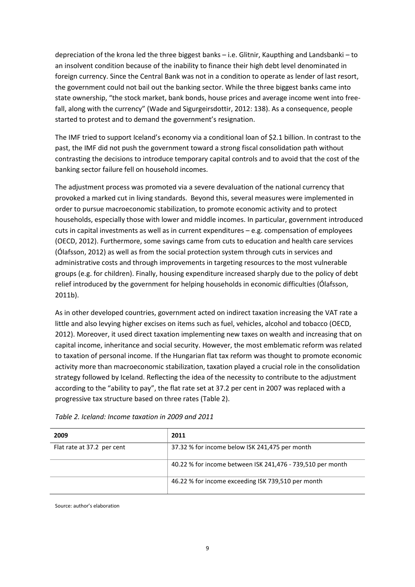depreciation of the krona led the three biggest banks – i.e. Glitnir, Kaupthing and Landsbanki – to an insolvent condition because of the inability to finance their high debt level denominated in foreign currency. Since the Central Bank was not in a condition to operate as lender of last resort, the government could not bail out the banking sector. While the three biggest banks came into state ownership, "the stock market, bank bonds, house prices and average income went into freefall, along with the currency" (Wade and Sigurgeirsdottir, 2012: 138). As a consequence, people started to protest and to demand the government's resignation.

The IMF tried to support Iceland's economy via a conditional loan of \$2.1 billion. In contrast to the past, the IMF did not push the government toward a strong fiscal consolidation path without contrasting the decisions to introduce temporary capital controls and to avoid that the cost of the banking sector failure fell on household incomes.

The adjustment process was promoted via a severe devaluation of the national currency that provoked a marked cut in living standards. Beyond this, several measures were implemented in order to pursue macroeconomic stabilization, to promote economic activity and to protect households, especially those with lower and middle incomes. In particular, government introduced cuts in capital investments as well as in current expenditures – e.g. compensation of employees (OECD, 2012). Furthermore, some savings came from cuts to education and health care services (Ólafsson, 2012) as well as from the social protection system through cuts in services and administrative costs and through improvements in targeting resources to the most vulnerable groups (e.g. for children). Finally, housing expenditure increased sharply due to the policy of debt relief introduced by the government for helping households in economic difficulties (Ólafsson, 2011b).

As in other developed countries, government acted on indirect taxation increasing the VAT rate a little and also levying higher excises on items such as fuel, vehicles, alcohol and tobacco (OECD, 2012). Moreover, it used direct taxation implementing new taxes on wealth and increasing that on capital income, inheritance and social security. However, the most emblematic reform was related to taxation of personal income. If the Hungarian flat tax reform was thought to promote economic activity more than macroeconomic stabilization, taxation played a crucial role in the consolidation strategy followed by Iceland. Reflecting the idea of the necessity to contribute to the adjustment according to the "ability to pay", the flat rate set at 37.2 per cent in 2007 was replaced with a progressive tax structure based on three rates (Table 2).

| 2009                       | 2011                                                       |
|----------------------------|------------------------------------------------------------|
| Flat rate at 37.2 per cent | 37.32 % for income below ISK 241,475 per month             |
|                            | 40.22 % for income between ISK 241,476 - 739,510 per month |
|                            | 46.22 % for income exceeding ISK 739,510 per month         |

*Table 2. Iceland: Income taxation in 2009 and 2011*

Source: author's elaboration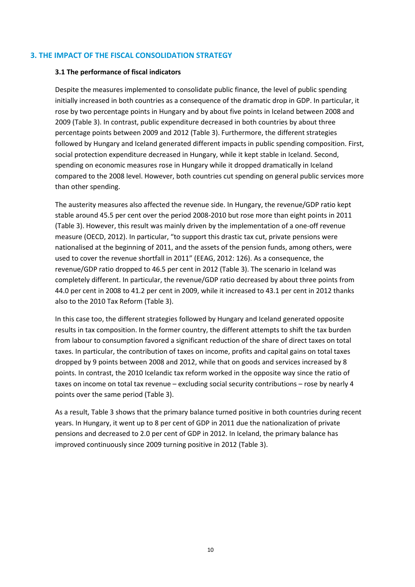## **3. THE IMPACT OF THE FISCAL CONSOLIDATION STRATEGY**

## **3.1 The performance of fiscal indicators**

Despite the measures implemented to consolidate public finance, the level of public spending initially increased in both countries as a consequence of the dramatic drop in GDP. In particular, it rose by two percentage points in Hungary and by about five points in Iceland between 2008 and 2009 (Table 3). In contrast, public expenditure decreased in both countries by about three percentage points between 2009 and 2012 (Table 3). Furthermore, the different strategies followed by Hungary and Iceland generated different impacts in public spending composition. First, social protection expenditure decreased in Hungary, while it kept stable in Iceland. Second, spending on economic measures rose in Hungary while it dropped dramatically in Iceland compared to the 2008 level. However, both countries cut spending on general public services more than other spending.

The austerity measures also affected the revenue side. In Hungary, the revenue/GDP ratio kept stable around 45.5 per cent over the period 2008-2010 but rose more than eight points in 2011 (Table 3). However, this result was mainly driven by the implementation of a one-off revenue measure (OECD, 2012). In particular, "to support this drastic tax cut, private pensions were nationalised at the beginning of 2011, and the assets of the pension funds, among others, were used to cover the revenue shortfall in 2011" (EEAG, 2012: 126). As a consequence, the revenue/GDP ratio dropped to 46.5 per cent in 2012 (Table 3). The scenario in Iceland was completely different. In particular, the revenue/GDP ratio decreased by about three points from 44.0 per cent in 2008 to 41.2 per cent in 2009, while it increased to 43.1 per cent in 2012 thanks also to the 2010 Tax Reform (Table 3).

In this case too, the different strategies followed by Hungary and Iceland generated opposite results in tax composition. In the former country, the different attempts to shift the tax burden from labour to consumption favored a significant reduction of the share of direct taxes on total taxes. In particular, the contribution of taxes on income, profits and capital gains on total taxes dropped by 9 points between 2008 and 2012, while that on goods and services increased by 8 points. In contrast, the 2010 Icelandic tax reform worked in the opposite way since the ratio of taxes on income on total tax revenue – excluding social security contributions – rose by nearly 4 points over the same period (Table 3).

As a result, Table 3 shows that the primary balance turned positive in both countries during recent years. In Hungary, it went up to 8 per cent of GDP in 2011 due the nationalization of private pensions and decreased to 2.0 per cent of GDP in 2012. In Iceland, the primary balance has improved continuously since 2009 turning positive in 2012 (Table 3).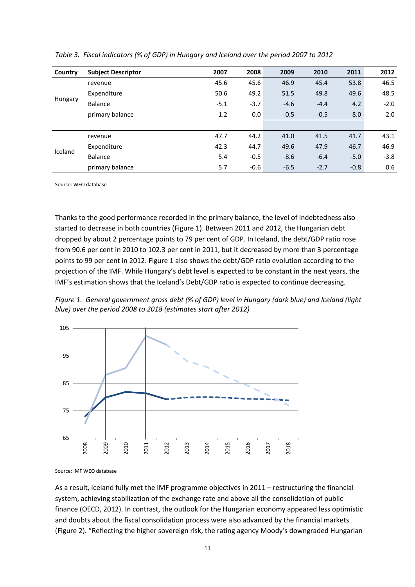| Country | <b>Subject Descriptor</b> | 2007   | 2008   | 2009   | 2010   | 2011   | 2012   |
|---------|---------------------------|--------|--------|--------|--------|--------|--------|
|         | revenue                   | 45.6   | 45.6   | 46.9   | 45.4   | 53.8   | 46.5   |
|         | Expenditure               | 50.6   | 49.2   | 51.5   | 49.8   | 49.6   | 48.5   |
| Hungary | Balance                   | $-5.1$ | $-3.7$ | $-4.6$ | $-4.4$ | 4.2    | $-2.0$ |
|         | primary balance           | $-1.2$ | 0.0    | $-0.5$ | $-0.5$ | 8.0    | 2.0    |
|         |                           |        |        |        |        |        |        |
| Iceland | revenue                   | 47.7   | 44.2   | 41.0   | 41.5   | 41.7   | 43.1   |
|         | Expenditure               | 42.3   | 44.7   | 49.6   | 47.9   | 46.7   | 46.9   |
|         | Balance                   | 5.4    | $-0.5$ | $-8.6$ | $-6.4$ | $-5.0$ | $-3.8$ |
|         | primary balance           | 5.7    | $-0.6$ | $-6.5$ | $-2.7$ | $-0.8$ | 0.6    |

*Table 3. Fiscal indicators (% of GDP) in Hungary and Iceland over the period 2007 to 2012* 

Source: WEO database

Thanks to the good performance recorded in the primary balance, the level of indebtedness also started to decrease in both countries (Figure 1). Between 2011 and 2012, the Hungarian debt dropped by about 2 percentage points to 79 per cent of GDP. In Iceland, the debt/GDP ratio rose from 90.6 per cent in 2010 to 102.3 per cent in 2011, but it decreased by more than 3 percentage points to 99 per cent in 2012. Figure 1 also shows the debt/GDP ratio evolution according to the projection of the IMF. While Hungary's debt level is expected to be constant in the next years, the IMF's estimation shows that the Iceland's Debt/GDP ratio is expected to continue decreasing.

*Figure 1. General government gross debt (% of GDP) level in Hungary (dark blue) and Iceland (light blue) over the period 2008 to 2018 (estimates start after 2012)*



Source: IMF WEO database

As a result, Iceland fully met the IMF programme objectives in 2011 – restructuring the financial system, achieving stabilization of the exchange rate and above all the consolidation of public finance (OECD, 2012). In contrast, the outlook for the Hungarian economy appeared less optimistic and doubts about the fiscal consolidation process were also advanced by the financial markets (Figure 2). "Reflecting the higher sovereign risk, the rating agency Moody's downgraded Hungarian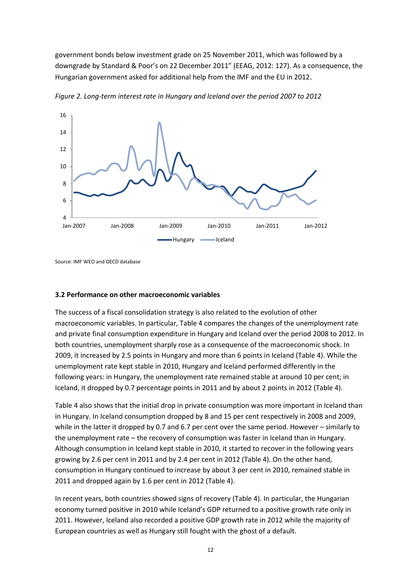government bonds below investment grade on 25 November 2011, which was followed by a downgrade by Standard & Poor's on 22 December 2011" (EEAG, 2012: 127). As a consequence, the Hungarian government asked for additional help from the IMF and the EU in 2012.



*Figure 2. Long-term interest rate in Hungary and Iceland over the period 2007 to 2012*

Source: IMF WEO and OECD database

## **3.2 Performance on other macroeconomic variables**

The success of a fiscal consolidation strategy is also related to the evolution of other macroeconomic variables. In particular, Table 4 compares the changes of the unemployment rate and private final consumption expenditure in Hungary and Iceland over the period 2008 to 2012. In both countries, unemployment sharply rose as a consequence of the macroeconomic shock. In 2009, it increased by 2.5 points in Hungary and more than 6 points in Iceland (Table 4). While the unemployment rate kept stable in 2010, Hungary and Iceland performed differently in the following years: in Hungary, the unemployment rate remained stable at around 10 per cent; in Iceland, it dropped by 0.7 percentage points in 2011 and by about 2 points in 2012 (Table 4).

Table 4 also shows that the initial drop in private consumption was more important in Iceland than in Hungary. In Iceland consumption dropped by 8 and 15 per cent respectively in 2008 and 2009, while in the latter it dropped by 0.7 and 6.7 per cent over the same period. However – similarly to the unemployment rate – the recovery of consumption was faster in Iceland than in Hungary. Although consumption in Iceland kept stable in 2010, it started to recover in the following years growing by 2.6 per cent in 2011 and by 2.4 per cent in 2012 (Table 4). On the other hand, consumption in Hungary continued to increase by about 3 per cent in 2010, remained stable in 2011 and dropped again by 1.6 per cent in 2012 (Table 4).

In recent years, both countries showed signs of recovery (Table 4). In particular, the Hungarian economy turned positive in 2010 while Iceland's GDP returned to a positive growth rate only in 2011. However, Iceland also recorded a positive GDP growth rate in 2012 while the majority of European countries as well as Hungary still fought with the ghost of a default.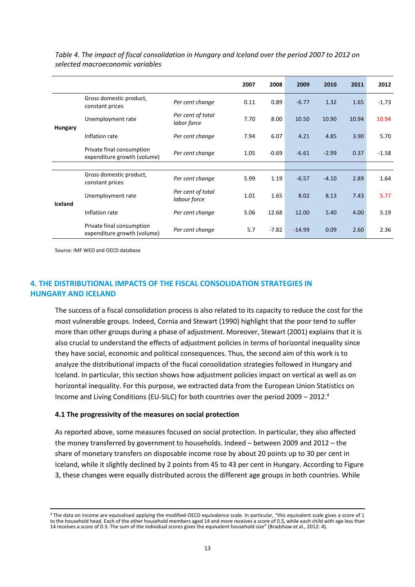|                |                                                          |                                   | 2007 | 2008    | 2009     | 2010    | 2011  | 2012    |
|----------------|----------------------------------------------------------|-----------------------------------|------|---------|----------|---------|-------|---------|
|                | Gross domestic product,<br>constant prices               | Per cent change                   | 0.11 | 0.89    | $-6.77$  | 1.32    | 1.65  | $-1.73$ |
| <b>Hungary</b> | Unemployment rate                                        | Per cent of total<br>labor force  | 7.70 | 8.00    | 10.50    | 10.90   | 10.94 | 10.94   |
|                | Inflation rate                                           | Per cent change                   | 7.94 | 6.07    | 4.21     | 4.85    | 3.90  | 5.70    |
|                | Private final consumption<br>expenditure growth (volume) | Per cent change                   | 1.05 | $-0.69$ | $-6.61$  | $-2.99$ | 0.37  | $-1.58$ |
|                |                                                          |                                   |      |         |          |         |       |         |
| Iceland        | Gross domestic product,<br>constant prices               | Per cent change                   | 5.99 | 1.19    | $-6.57$  | $-4.10$ | 2.89  | 1.64    |
|                | Unemployment rate                                        | Per cent of total<br>labour force | 1.01 | 1.65    | 8.02     | 8.13    | 7.43  | 5.77    |
|                | Inflation rate                                           | Per cent change                   | 5.06 | 12.68   | 12.00    | 5.40    | 4.00  | 5.19    |
|                | Private final consumption<br>expenditure growth (volume) | Per cent change                   | 5.7  | $-7.82$ | $-14.99$ | 0.09    | 2.60  | 2.36    |

*Table 4. The impact of fiscal consolidation in Hungary and Iceland over the period 2007 to 2012 on selected macroeconomic variables*

Source: IMF WEO and OECD database

1

## **4. THE DISTRIBUTIONAL IMPACTS OF THE FISCAL CONSOLIDATION STRATEGIES IN HUNGARY AND ICELAND**

The success of a fiscal consolidation process is also related to its capacity to reduce the cost for the most vulnerable groups. Indeed, Cornia and Stewart (1990) highlight that the poor tend to suffer more than other groups during a phase of adjustment. Moreover, Stewart (2001) explains that it is also crucial to understand the effects of adjustment policies in terms of horizontal inequality since they have social, economic and political consequences. Thus, the second aim of this work is to analyze the distributional impacts of the fiscal consolidation strategies followed in Hungary and Iceland. In particular, this section shows how adjustment policies impact on vertical as well as on horizontal inequality. For this purpose, we extracted data from the European Union Statistics on Income and Living Conditions (EU-SILC) for both countries over the period  $2009 - 2012$ .<sup>4</sup>

#### **4.1 The progressivity of the measures on social protection**

As reported above, some measures focused on social protection. In particular, they also affected the money transferred by government to households. Indeed – between 2009 and 2012 – the share of monetary transfers on disposable income rose by about 20 points up to 30 per cent in Iceland, while it slightly declined by 2 points from 45 to 43 per cent in Hungary. According to Figure 3, these changes were equally distributed across the different age groups in both countries. While

<sup>4</sup> The data on income are equivalised applying the modified-OECD equivalence scale. In particular, "this equivalent scale gives a score of 1 to the household head. Each of the other household members aged 14 and more receives a score of 0.5, while each child with age less than 14 receives a score of 0.3. The sum of the individual scores gives the equivalent household size" (Bradshaw et al., 2012: 4).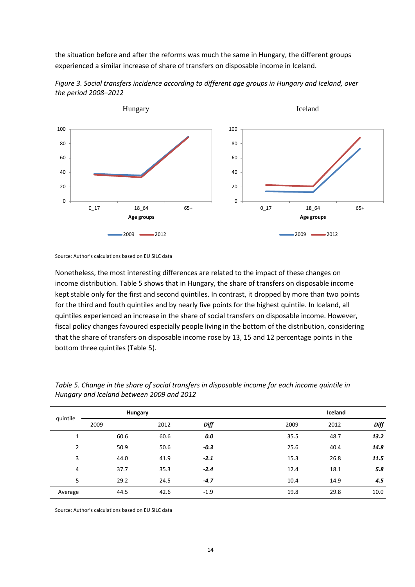the situation before and after the reforms was much the same in Hungary, the different groups experienced a similar increase of share of transfers on disposable income in Iceland.



*Figure 3. Social transfers incidence according to different age groups in Hungary and Iceland, over the period 2008–2012*

Nonetheless, the most interesting differences are related to the impact of these changes on income distribution. Table 5 shows that in Hungary, the share of transfers on disposable income kept stable only for the first and second quintiles. In contrast, it dropped by more than two points for the third and fouth quintiles and by nearly five points for the highest quintile. In Iceland, all quintiles experienced an increase in the share of social transfers on disposable income. However, fiscal policy changes favoured especially people living in the bottom of the distribution, considering that the share of transfers on disposable income rose by 13, 15 and 12 percentage points in the bottom three quintiles (Table 5).

| quintile       |      | Hungary |        |      | Iceland |      |
|----------------|------|---------|--------|------|---------|------|
|                | 2009 | 2012    | Diff   | 2009 | 2012    | Diff |
| 1              | 60.6 | 60.6    | 0.0    | 35.5 | 48.7    | 13.2 |
| $\overline{2}$ | 50.9 | 50.6    | $-0.3$ | 25.6 | 40.4    | 14.8 |
| 3              | 44.0 | 41.9    | $-2.1$ | 15.3 | 26.8    | 11.5 |
| 4              | 37.7 | 35.3    | $-2.4$ | 12.4 | 18.1    | 5.8  |
| 5              | 29.2 | 24.5    | $-4.7$ | 10.4 | 14.9    | 4.5  |
| Average        | 44.5 | 42.6    | $-1.9$ | 19.8 | 29.8    | 10.0 |

*Table 5. Change in the share of social transfers in disposable income for each income quintile in Hungary and Iceland between 2009 and 2012*

Source: Author's calculations based on EU SILC data

Source: Author's calculations based on EU SILC data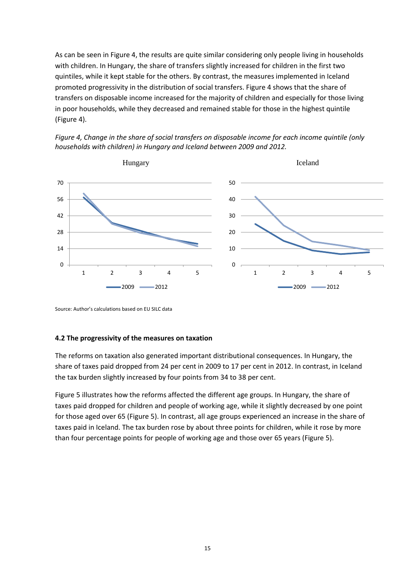As can be seen in Figure 4, the results are quite similar considering only people living in households with children. In Hungary, the share of transfers slightly increased for children in the first two quintiles, while it kept stable for the others. By contrast, the measures implemented in Iceland promoted progressivity in the distribution of social transfers. Figure 4 shows that the share of transfers on disposable income increased for the majority of children and especially for those living in poor households, while they decreased and remained stable for those in the highest quintile (Figure 4).



*Figure 4, Change in the share of social transfers on disposable income for each income quintile (only households with children) in Hungary and Iceland between 2009 and 2012.*

Source: Author's calculations based on EU SILC data

#### **4.2 The progressivity of the measures on taxation**

The reforms on taxation also generated important distributional consequences. In Hungary, the share of taxes paid dropped from 24 per cent in 2009 to 17 per cent in 2012. In contrast, in Iceland the tax burden slightly increased by four points from 34 to 38 per cent.

Figure 5 illustrates how the reforms affected the different age groups. In Hungary, the share of taxes paid dropped for children and people of working age, while it slightly decreased by one point for those aged over 65 (Figure 5). In contrast, all age groups experienced an increase in the share of taxes paid in Iceland. The tax burden rose by about three points for children, while it rose by more than four percentage points for people of working age and those over 65 years (Figure 5).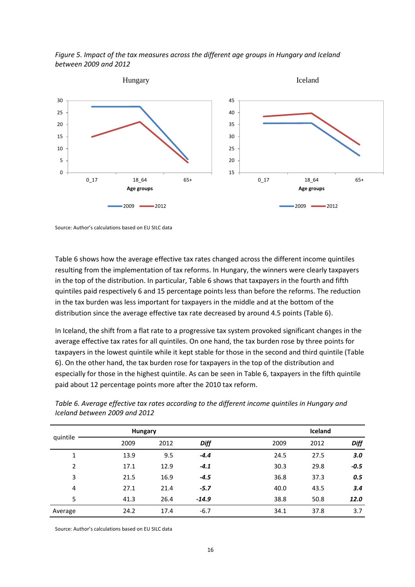



Source: Author's calculations based on EU SILC data

Table 6 shows how the average effective tax rates changed across the different income quintiles resulting from the implementation of tax reforms. In Hungary, the winners were clearly taxpayers in the top of the distribution. In particular, Table 6 shows that taxpayers in the fourth and fifth quintiles paid respectively 6 and 15 percentage points less than before the reforms. The reduction in the tax burden was less important for taxpayers in the middle and at the bottom of the distribution since the average effective tax rate decreased by around 4.5 points (Table 6).

In Iceland, the shift from a flat rate to a progressive tax system provoked significant changes in the average effective tax rates for all quintiles. On one hand, the tax burden rose by three points for taxpayers in the lowest quintile while it kept stable for those in the second and third quintile (Table 6). On the other hand, the tax burden rose for taxpayers in the top of the distribution and especially for those in the highest quintile. As can be seen in Table 6, taxpayers in the fifth quintile paid about 12 percentage points more after the 2010 tax reform.

|                |      | <b>Hungary</b> |             |      | Iceland |             |
|----------------|------|----------------|-------------|------|---------|-------------|
| quintile       | 2009 | 2012           | <b>Diff</b> | 2009 | 2012    | <b>Diff</b> |
| $\mathbf{1}$   | 13.9 | 9.5            | $-4.4$      | 24.5 | 27.5    | 3.0         |
| $\overline{2}$ | 17.1 | 12.9           | $-4.1$      | 30.3 | 29.8    | $-0.5$      |
| 3              | 21.5 | 16.9           | $-4.5$      | 36.8 | 37.3    | 0.5         |
| 4              | 27.1 | 21.4           | $-5.7$      | 40.0 | 43.5    | 3.4         |
| 5              | 41.3 | 26.4           | $-14.9$     | 38.8 | 50.8    | 12.0        |
| Average        | 24.2 | 17.4           | $-6.7$      | 34.1 | 37.8    | 3.7         |

*Table 6. Average effective tax rates according to the different income quintiles in Hungary and Iceland between 2009 and 2012*

Source: Author's calculations based on EU SILC data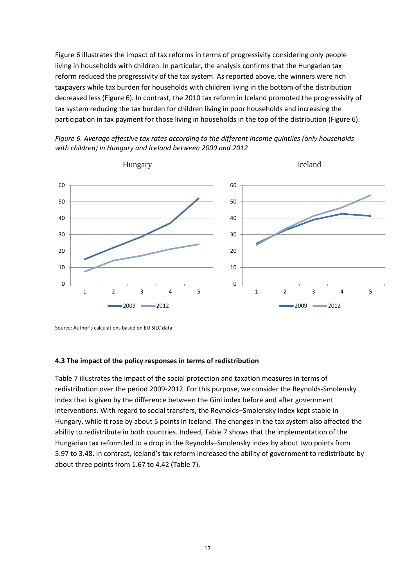Figure 6 illustrates the impact of tax reforms in terms of progressivity considering only people living in households with children. In particular, the analysis confirms that the Hungarian tax reform reduced the progressivity of the tax system. As reported above, the winners were rich taxpayers while tax burden for households with children living in the bottom of the distribution decreased less (Figure 6). In contrast, the 2010 tax reform in Iceland promoted the progressivity of tax system reducing the tax burden for children living in poor households and increasing the participation in tax payment for those living in households in the top of the distribution (Figure 6).





Source: Author's calculations based on EU SILC data

#### **4.3 The impact of the policy responses in terms of redistribution**

Table 7 illustrates the impact of the social protection and taxation measures in terms of redistribution over the period 2009-2012. For this purpose, we consider the Reynolds-Smolensky index that is given by the difference between the Gini index before and after government interventions. With regard to social transfers, the Reynolds–Smolensky index kept stable in Hungary, while it rose by about 5 points in Iceland. The changes in the tax system also affected the ability to redistribute in both countries. Indeed, Table 7 shows that the implementation of the Hungarian tax reform led to a drop in the Reynolds–Smolensky index by about two points from 5.97 to 3.48. In contrast, Iceland's tax reform increased the ability of government to redistribute by about three points from 1.67 to 4.42 (Table 7).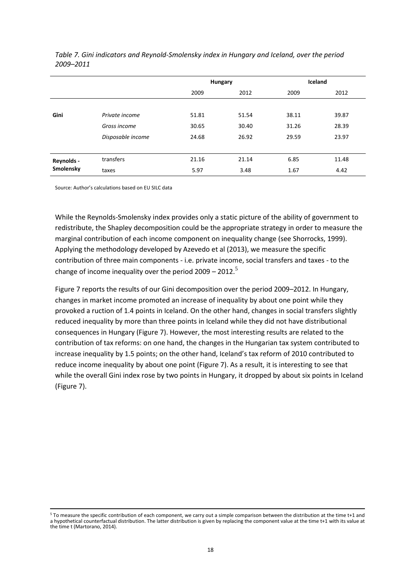|            |                   | Hungary |       |       | Iceland |
|------------|-------------------|---------|-------|-------|---------|
|            |                   | 2009    | 2012  | 2009  | 2012    |
|            |                   |         |       |       |         |
| Gini       | Private income    | 51.81   | 51.54 | 38.11 | 39.87   |
|            | Gross income      | 30.65   | 30.40 | 31.26 | 28.39   |
|            | Disposable income | 24.68   | 26.92 | 29.59 | 23.97   |
|            |                   |         |       |       |         |
| Reynolds - | transfers         | 21.16   | 21.14 | 6.85  | 11.48   |
| Smolensky  | taxes             | 5.97    | 3.48  | 1.67  | 4.42    |

*Table 7. Gini indicators and Reynold-Smolensky index in Hungary and Iceland, over the period 2009–2011*

Source: Author's calculations based on EU SILC data

While the Reynolds-Smolensky index provides only a static picture of the ability of government to redistribute, the Shapley decomposition could be the appropriate strategy in order to measure the marginal contribution of each income component on inequality change (see Shorrocks, 1999). Applying the methodology developed by Azevedo et al (2013), we measure the specific contribution of three main components - i.e. private income, social transfers and taxes - to the change of income inequality over the period  $2009 - 2012$ .<sup>5</sup>

Figure 7 reports the results of our Gini decomposition over the period 2009–2012. In Hungary, changes in market income promoted an increase of inequality by about one point while they provoked a ruction of 1.4 points in Iceland. On the other hand, changes in social transfers slightly reduced inequality by more than three points in Iceland while they did not have distributional consequences in Hungary (Figure 7). However, the most interesting results are related to the contribution of tax reforms: on one hand, the changes in the Hungarian tax system contributed to increase inequality by 1.5 points; on the other hand, Iceland's tax reform of 2010 contributed to reduce income inequality by about one point (Figure 7). As a result, it is interesting to see that while the overall Gini index rose by two points in Hungary, it dropped by about six points in Iceland (Figure 7).

<sup>1</sup> <sup>5</sup> To measure the specific contribution of each component, we carry out a simple comparison between the distribution at the time t+1 and a hypothetical counterfactual distribution. The latter distribution is given by replacing the component value at the time t+1 with its value at the time t (Martorano, 2014).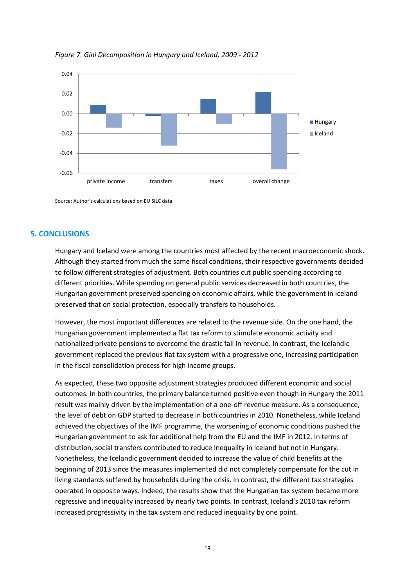

*Figure 7. Gini Decomposition in Hungary and Iceland, 2009 - 2012*

Source: Author's calculations based on EU SILC data

## **5. CONCLUSIONS**

Hungary and Iceland were among the countries most affected by the recent macroeconomic shock. Although they started from much the same fiscal conditions, their respective governments decided to follow different strategies of adjustment. Both countries cut public spending according to different priorities. While spending on general public services decreased in both countries, the Hungarian government preserved spending on economic affairs, while the government in Iceland preserved that on social protection, especially transfers to households.

However, the most important differences are related to the revenue side. On the one hand, the Hungarian government implemented a flat tax reform to stimulate economic activity and nationalized private pensions to overcome the drastic fall in revenue. In contrast, the Icelandic government replaced the previous flat tax system with a progressive one, increasing participation in the fiscal consolidation process for high income groups.

As expected, these two opposite adjustment strategies produced different economic and social outcomes. In both countries, the primary balance turned positive even though in Hungary the 2011 result was mainly driven by the implementation of a one-off revenue measure. As a consequence, the level of debt on GDP started to decrease in both countries in 2010. Nonetheless, while Iceland achieved the objectives of the IMF programme, the worsening of economic conditions pushed the Hungarian government to ask for additional help from the EU and the IMF in 2012. In terms of distribution, social transfers contributed to reduce inequality in Iceland but not in Hungary. Nonetheless, the Icelandic government decided to increase the value of child benefits at the beginning of 2013 since the measures implemented did not completely compensate for the cut in living standards suffered by households during the crisis. In contrast, the different tax strategies operated in opposite ways. Indeed, the results show that the Hungarian tax system became more regressive and inequality increased by nearly two points. In contrast, Iceland's 2010 tax reform increased progressivity in the tax system and reduced inequality by one point.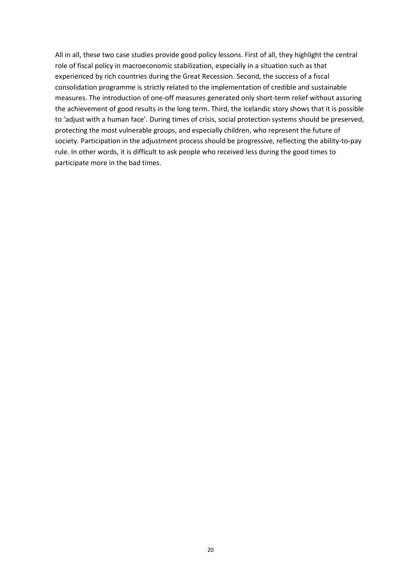All in all, these two case studies provide good policy lessons. First of all, they highlight the central role of fiscal policy in macroeconomic stabilization, especially in a situation such as that experienced by rich countries during the Great Recession. Second, the success of a fiscal consolidation programme is strictly related to the implementation of credible and sustainable measures. The introduction of one-off measures generated only short-term relief without assuring the achievement of good results in the long term. Third, the Icelandic story shows that it is possible to 'adjust with a human face'. During times of crisis, social protection systems should be preserved, protecting the most vulnerable groups, and especially children, who represent the future of society. Participation in the adjustment process should be progressive, reflecting the ability-to-pay rule. In other words, it is difficult to ask people who received less during the good times to participate more in the bad times.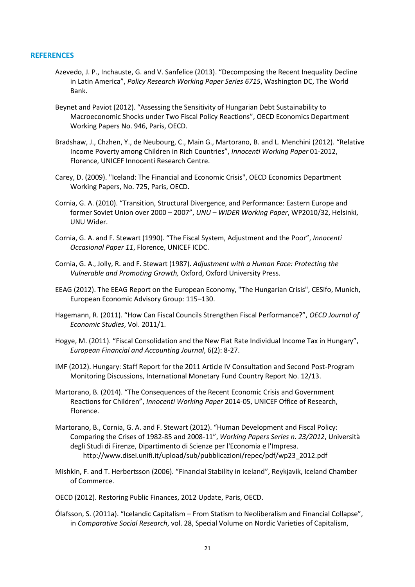#### **REFERENCES**

- Azevedo, J. P., Inchauste, G. and V. Sanfelice (2013). "Decomposing the Recent Inequality Decline in Latin America", *Policy Research Working Paper Series 6715*, Washington DC, The World Bank.
- Beynet and Paviot (2012). "Assessing the Sensitivity of Hungarian Debt Sustainability to Macroeconomic Shocks under Two Fiscal Policy Reactions", OECD Economics Department Working Papers No. 946, Paris, OECD.
- Bradshaw, J., Chzhen, Y., de Neubourg, C., Main G., Martorano, B. and L. Menchini (2012). "Relative Income Poverty among Children in Rich Countries", *Innocenti Working Paper* 01-2012, Florence, UNICEF Innocenti Research Centre.
- Carey, D. (2009). "Iceland: The Financial and Economic Crisis", OECD Economics Department Working Papers, No. 725, Paris, OECD.
- Cornia, G. A. (2010). "Transition, Structural Divergence, and Performance: Eastern Europe and former Soviet Union over 2000 – 2007", *UNU – WIDER Working Paper*, WP2010/32, Helsinki, UNU Wider.
- Cornia, G. A. and F. Stewart (1990). "The Fiscal System, Adjustment and the Poor", *Innocenti Occasional Paper 11*, Florence, UNICEF ICDC.
- Cornia, G. A., Jolly, R. and F. Stewart (1987). *Adjustment with a Human Face: Protecting the Vulnerable and Promoting Growth,* Oxford, Oxford University Press.
- EEAG (2012). The EEAG Report on the European Economy, "The Hungarian Crisis", CESifo, Munich, European Economic Advisory Group: 115–130.
- Hagemann, R. (2011). "How Can Fiscal Councils Strengthen Fiscal Performance?", *OECD Journal of Economic Studies*, Vol. 2011/1.
- Hogye, M. (2011). "Fiscal Consolidation and the New Flat Rate Individual Income Tax in Hungary", *European Financial and Accounting Journal*, 6(2): 8-27.
- IMF (2012). Hungary: Staff Report for the 2011 Article IV Consultation and Second Post-Program Monitoring Discussions, International Monetary Fund Country Report No. 12/13.
- Martorano, B. (2014). "The Consequences of the Recent Economic Crisis and Government Reactions for Children", *Innocenti Working Paper* 2014-05, UNICEF Office of Research, Florence.
- Martorano, B., Cornia, G. A. and F. Stewart (2012). "Human Development and Fiscal Policy: Comparing the Crises of 1982-85 and 2008-11", *Working Papers Series n. 23/2012*, Università degli Studi di Firenze, Dipartimento di Scienze per l'Economia e l'Impresa. http://www.disei.unifi.it/upload/sub/pubblicazioni/repec/pdf/wp23\_2012.pdf
- Mishkin, F. and T. Herbertsson (2006). "Financial Stability in Iceland", Reykjavik, Iceland Chamber of Commerce.
- OECD (2012). Restoring Public Finances, 2012 Update, Paris, OECD.
- Ólafsson, S. (2011a). "Icelandic Capitalism From Statism to Neoliberalism and Financial Collapse", in *Comparative Social Research*, vol. 28, Special Volume on Nordic Varieties of Capitalism,